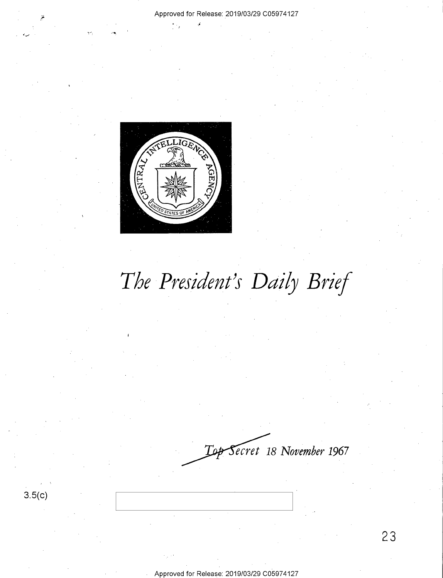

*ecret* **18** *November* **1967**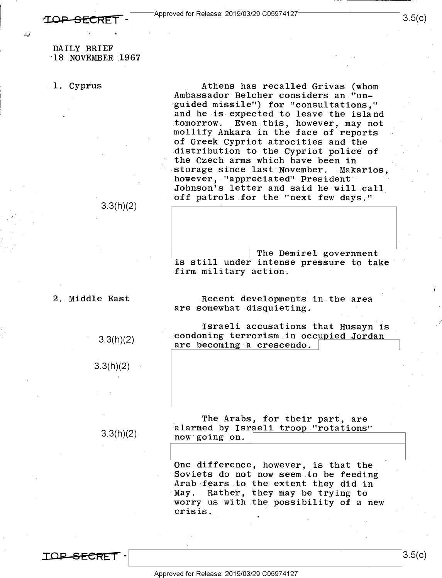*:\_.,* <sup>I</sup>

DAILY BRIEF 18 NOVEMBER .1967

1. Cyprus

Athens has recalled Grivas (whom Ambassador Belcher considers an "unguided missile") for "consultations," and he is expected to leave the island tomorrow. Even this, however, may not mollify Ankara in the face of reports of Greek Cypriot atrocities and the distribution to the Cypriot police of the Czech arms which have been in storage since last November. Makarios, however, "appreciated" President Johnson's letter and said he will call off patrols for the "next few days."

3.3(h)(2)

~-------I The Demirel government is still under intense pressure to take firm military action.

2. Middle East

3.3(h)(2)

3.3(h)(2)

3.3(h)(2)

Recent developments in the area are somewhat disquieting.

Israeli accusations that Husayn is .condoning terrorism in occupied Jordan are becoming a crescendo.

The Arabs, for their part, are alarmed by Israeli troop "rotations" now going on.

One difference, however, is that the Soviets do not now seem to be feeding Arab fears to the extent they did in May. Rather, they may be trying to worry us with the possibility of a new crisis.

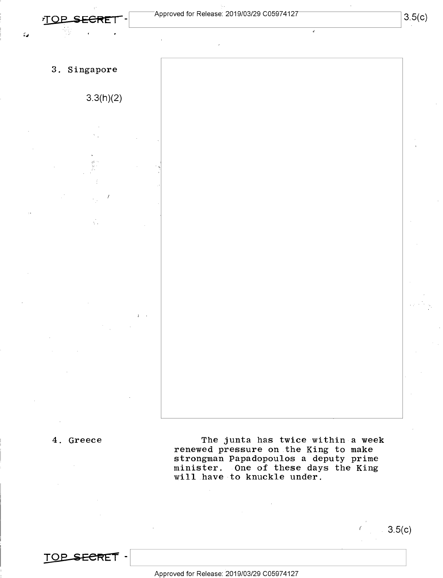$\mathcal{L}_{\mathcal{A}}$ 

I



#### 4. Greece

The junta has twice within a week renewed pressure on the King to make strongman Papadopoulos a deputy prime minister. One of these days the King will have to knuckle under.

 $TOP$  **SECRET** -

Approved for Release: 2019/03/29 C0597 4127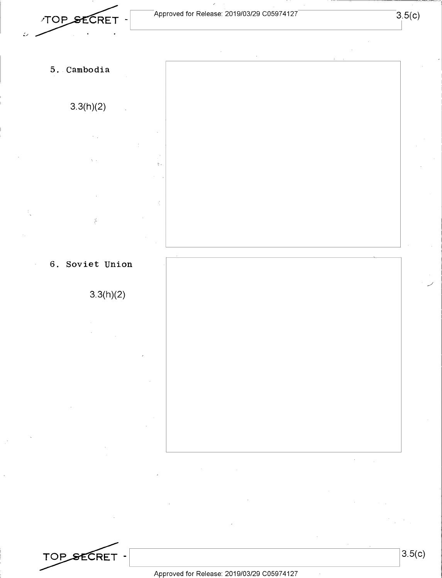TOP SECRET -

**5. Cambodia 3.3(h)(2)**   $\tilde{\mathcal{E}}$ 

### **6. Soviet Union**

**3.3(h)(2)** 



 $\bar{\mathbf{v}}$ 

TOP SECRET -

Approved for Release: 2019/03/29 C0597 4127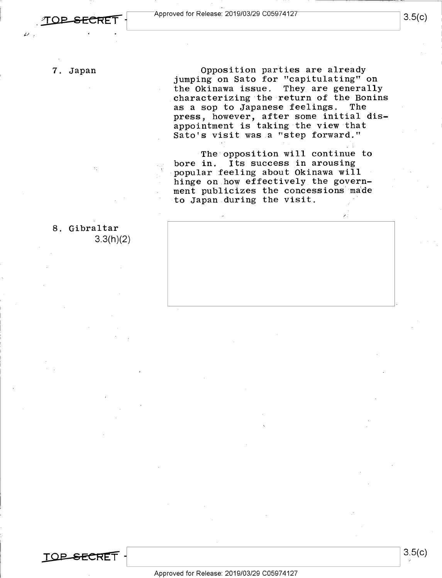7. Japan

8. Gibraltar

3.3(h)(2)

 $~\cdot~$ 

Opposition parties are already jumping on Sato for "capitulating" on the Okinawa issue. They are generally characterizing the return of the Bonins<br>as a sop to Japanese feelings. The as a sop to Japanese feelings. press, however, after some initial disappointment is taking the view that Sato's visit was a "step forward."

The opposition will continue to bore in. Its success in arousing popular feeling about Okinawa will hinge on how effectively the government publicizes the concessions made to Japan during the visit,

/".

**TOP SECRET**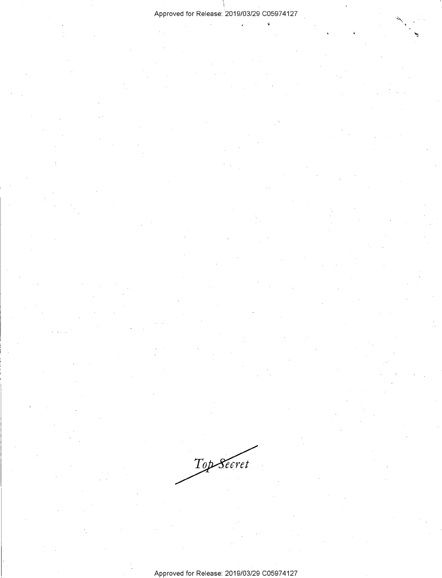#### Approved for Release: 2019/03/29 C0597 4127

ç.

Top Secret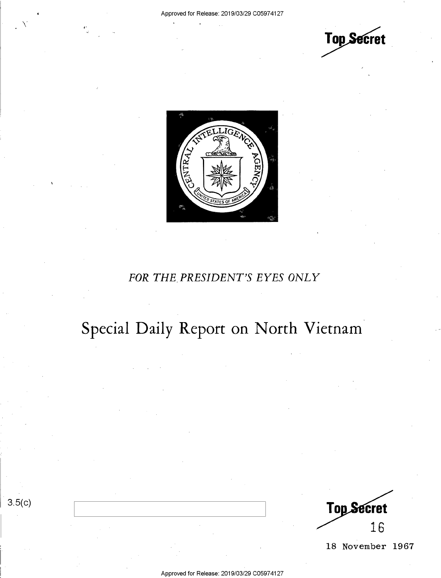$\bigwedge^r$ 

3.5(c)





## *FOR THE.PRESIDENT'S EYES ONLY*

# Special Daily Report on North Vietnam

**Top Secret** 16

18 November 1967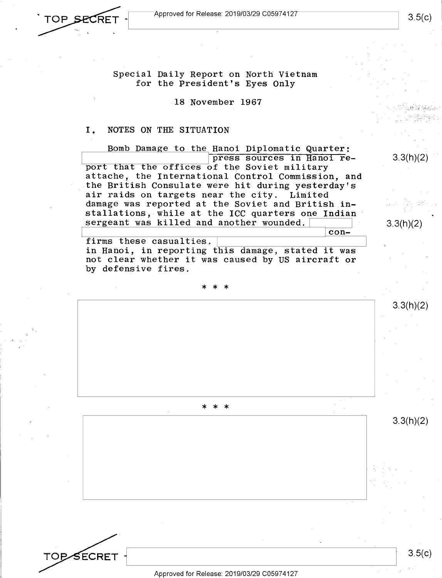

**TOB** 

SECRET

Special Daily Report on North Vietnam for the President's Eyes Only

18 November 1967

#### I. NOTES ON THE SITUATION

Bomb Damage to the Hanoi Diplomatic Quarter: press sources in Hanoi report that the offices of the Soviet military attache, the International Control Commission, and the British Consulate were hit during yesterday's air raids on targets near the city. Limited damage was reported at the Soviet and British installations, while at the ICC quarters one Indian sergeant was killed and another wounded.

firms these casualties. in Hanoi, in reporting this damage, stated it was not clear whether it was caused by US aircraft or by defensive fires.

\* \* \*

\* \* \*

Approved for Release: 2019/03/29 C0597 4127

3.3(h)(2)

3.3(h)(2)

con-

3.3(h)(2)

3.3(h)(2)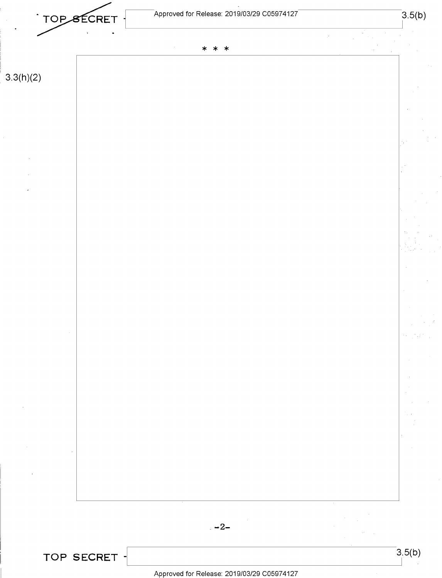

ÿ.

**3.3(h)(2)** 



**TOP SECRET** - 3.5(b)

Approved for Release: 2019/03/29 C0597 4127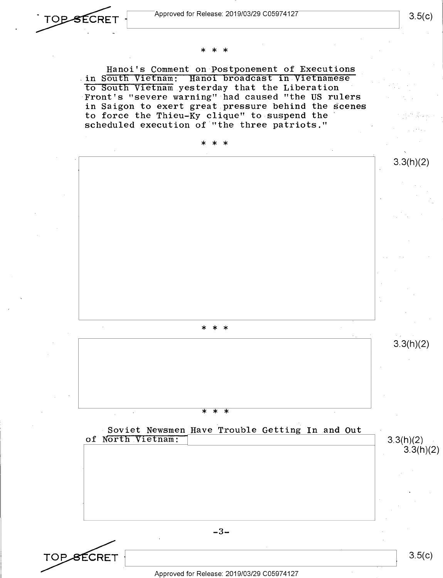

## \* \* \*

Hanoi's Comment on Postponement of Executions . in South Vietnam: Hanoi broadcast in Vietnamese to South Vietnam yesterday that the Liberation Front's "severe warning" had caused "the US rulers in Saigon to exert great pressure behind the scenes to force the Thieu-Ky clique" to suspend the scheduled execution of "the three patriots."



 $-3-$ 

TOP\_<del>S</del>ECRET

Approved for Release: 2019/03/29 C0597 4127

3.5(c)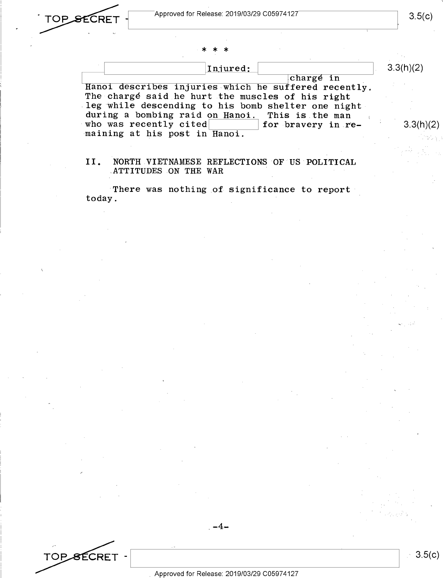3.3(h)(2)

# \* \* \*

| Injured:                                             | 3.3(h)(2) |
|------------------------------------------------------|-----------|
| chargé in                                            |           |
| Hanoi describes injuries which he suffered recently. |           |
| The charge said he hurt the muscles of his right     |           |

leg while descending to his bomb shelter one night during a bombing raid on Hanoi. This is the man during a bomoing raid on  $\frac{H}{H}$  and  $\frac{H}{H}$  for bravery in rewho was recently cited<br>maining at his post in Hanoi.

#### II. NORTH VIETNAMESE REFLECTIONS OF US POLITICAL ATTITUDES ON THE WAR

There was nothing of significance to report today.

# TOP SECRET -

 $-4-$